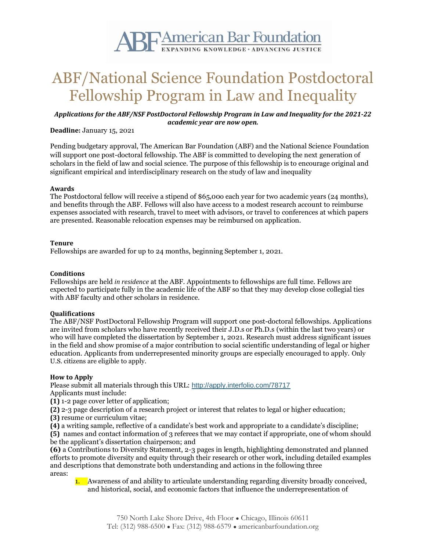

# ABF/National Science Foundation Postdoctoral Fellowship Program in Law and Inequality

## *Applications for the ABF/NSF PostDoctoral Fellowship Program in Law and Inequality for the 2021-22 academic year are now open.*

# **Deadline:** January 15, 2021

Pending budgetary approval, The American Bar Foundation (ABF) and the National Science Foundation will support one post-doctoral fellowship. The ABF is committed to developing the next generation of scholars in the field of law and social science. The purpose of this fellowship is to encourage original and significant empirical and interdisciplinary research on the study of law and inequality

#### **Awards**

The Postdoctoral fellow will receive a stipend of \$65,00o each year for two academic years (24 months), and benefits through the ABF. Fellows will also have access to a modest research account to reimburse expenses associated with research, travel to meet with advisors, or travel to conferences at which papers are presented. Reasonable relocation expenses may be reimbursed on application.

#### **Tenure**

Fellowships are awarded for up to 24 months, beginning September 1, 2021.

#### **Conditions**

Fellowships are held *in residence* at the ABF. Appointments to fellowships are full time. Fellows are expected to participate fully in the academic life of the ABF so that they may develop close collegial ties with ABF faculty and other scholars in residence.

### **Qualifications**

The ABF/NSF PostDoctoral Fellowship Program will support one post-doctoral fellowships. Applications are invited from scholars who have recently received their J.D.s or Ph.D.s (within the last two years) or who will have completed the dissertation by September 1, 2021. Research must address significant issues in the field and show promise of a major contribution to social scientific understanding of legal or higher education. Applicants from underrepresented minority groups are especially encouraged to apply. Only U.S. citizens are eligible to apply.

#### **How to Apply**

Please submit all materials through this URL: <http://apply.interfolio.com/78717> Applicants must include:

**(1)** 1-2 page cover letter of application;

**(2)** 2-3 page description of a research project or interest that relates to legal or higher education;

- **(3)** resume or curriculum vitae;
- **(4)** a writing sample, reflective of a candidate's best work and appropriate to a candidate's discipline;

**(5)** names and contact information of 3 referees that we may contact if appropriate, one of whom should be the applicant's dissertation chairperson; and

**(6)** a Contributions to Diversity Statement, 2-3 pages in length, highlighting demonstrated and planned efforts to promote diversity and equity through their research or other work, including detailed examples and descriptions that demonstrate both understanding and actions in the following three areas:

1. Awareness of and ability to articulate understanding regarding diversity broadly conceived, and historical, social, and economic factors that influence the underrepresentation of